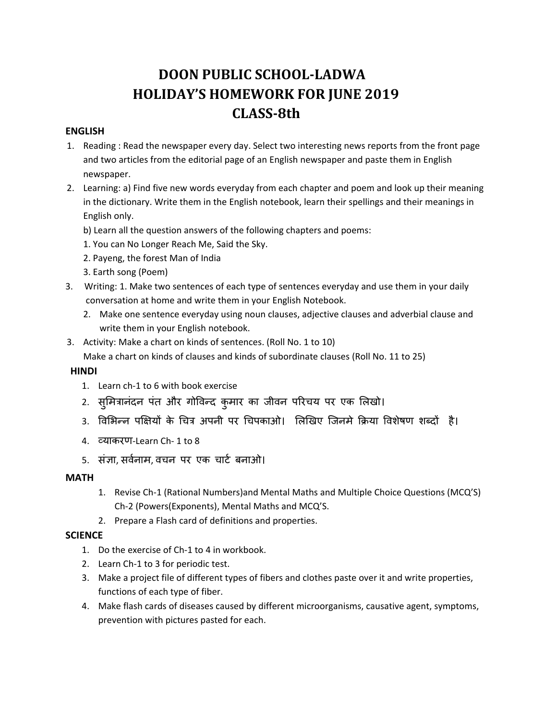# **DOON PUBLIC SCHOOL‐LADWA HOLIDAY'S HOMEWORK FOR JUNE 2019**  $CLASS-8th$

#### **ENGLISH**

- 1. Reading : Read the newspaper every day. Select two interesting news reports from the front page and two articles from the editorial page of an English newspaper and paste them in English newspaper.
- 2. Learning: a) Find five new words everyday from each chapter and poem and look up their meaning in the dictionary. Write them in the English notebook, learn their spellings and their meanings in English only.
	- b) Learn all the question answers of the following chapters and poems:
	- 1. You can No Longer Reach Me, Said the Sky.
	- 2. Payeng, the forest Man of India
	- 3. Earth song (Poem)
- 3. Writing: 1. Make two sentences of each type of sentences everyday and use them in your daily conversation at home and write them in your English Notebook.
	- 2. Make one sentence everyday using noun clauses, adjective clauses and adverbial clause and write them in your English notebook.
- 3. Activity: Make a chart on kinds of sentences. (Roll No. 1 to 10)
	- Make a chart on kinds of clauses and kinds of subordinate clauses (Roll No. 11 to 25)

# **HINDI**

- 1. Learn ch‐1 to 6 with book exercise
- 2. सुमित्रानंदन पंत और गोविन्द कुमार का जीवन परिचय पर एक लिखो।
- 3. विभिन्न पक्षियों के चित्र अपनी पर चिपकाओ। लिखिए जिनमे क्रिया विशेषण शब्दों है।
- 4. åयाकरण‐Learn Ch‐ 1 to 8
- 5. संज्ञा, सर्वनाम, वचन पर एक चार्ट बनाओ।

# **MATH**

- 1. Revise Ch-1 (Rational Numbers)and Mental Maths and Multiple Choice Questions (MCQ'S) Ch‐2 (Powers(Exponents), Mental Maths and MCQ'S.
- 2. Prepare a Flash card of definitions and properties.

# **SCIENCE**

- 1. Do the exercise of Ch-1 to 4 in workbook.
- 2. Learn Ch‐1 to 3 for periodic test.
- 3. Make a project file of different types of fibers and clothes paste over it and write properties, functions of each type of fiber.
- 4. Make flash cards of diseases caused by different microorganisms, causative agent, symptoms, prevention with pictures pasted for each.